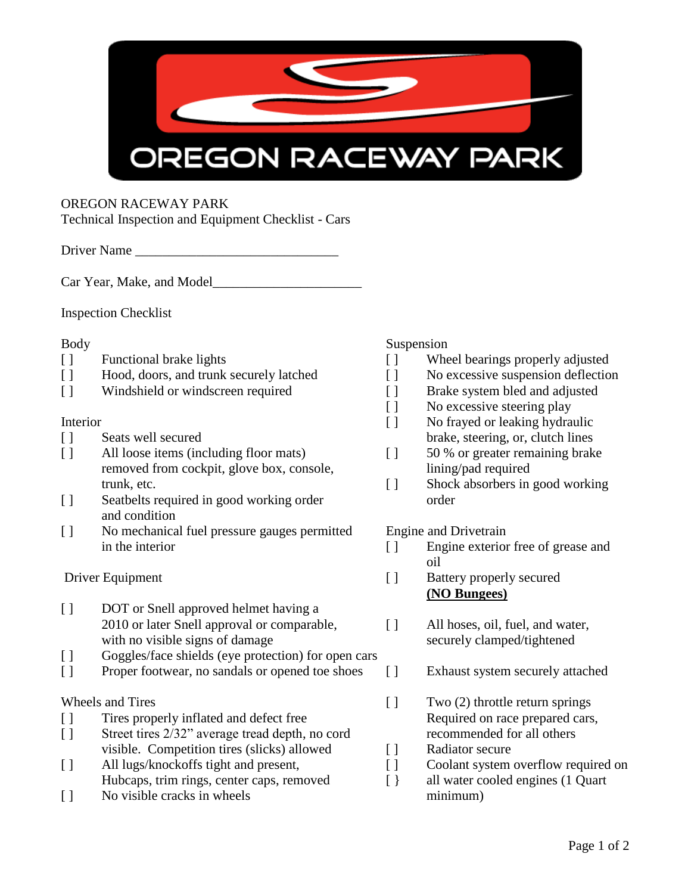

# OREGON RACEWAY PARK

Technical Inspection and Equipment Checklist - Cars

Driver Name

Car Year, Make, and Model\_\_\_\_\_\_\_\_\_\_\_\_\_\_\_\_\_\_\_\_\_\_

Inspection Checklist

- 
- [ ] Hood, doors, and trunk securely latched [ ] No excessive suspension deflection
- [ ] Windshield or windscreen required [ ] Brake system bled and adjusted

- 
- [ ] All loose items (including floor mats) [ ] 50 % or greater remaining brake removed from cockpit, glove box, console, lining/pad required trunk, etc. **Example 2018** [ ] Shock absorbers in good working
- [ ] Seatbelts required in good working order order order and condition
- [ ] No mechanical fuel pressure gauges permitted Engine and Drivetrain in the interior  $\lceil \rceil$  Engine exterior free of grease and

- [ ] DOT or Snell approved helmet having a 2010 or later Snell approval or comparable, [ ] All hoses, oil, fuel, and water, with no visible signs of damage securely clamped/tightened
- [] Goggles/face shields (eye protection) for open cars
- [ ] Proper footwear, no sandals or opened toe shoes [ ] Exhaust system securely attached

- [ ] Tires properly inflated and defect free Required on race prepared cars,
- [ ] Street tires  $2/32$ " average tread depth, no cord recommended for all others visible. Competition tires (slicks) allowed [ ] Radiator secure
- [ ] All lugs/knockoffs tight and present, [ ] Coolant system overflow required on Hubcaps, trim rings, center caps, removed [ } all water cooled engines (1 Quart
- [ ] No visible cracks in wheels minimum)

# Body Suspension

- [ ] Functional brake lights [ ] Wheel bearings properly adjusted
	-
	-
	- [ ] No excessive steering play
- Interior [ ] No frayed or leaking hydraulic [ ] Seats well secured brake, steering, or, clutch lines
	-
	-

- oil
- Driver Equipment [ ] Battery properly secured **(NO Bungees)**
	- -
- Wheels and Tires [ ] Two (2) throttle return springs
	-
	-
	-